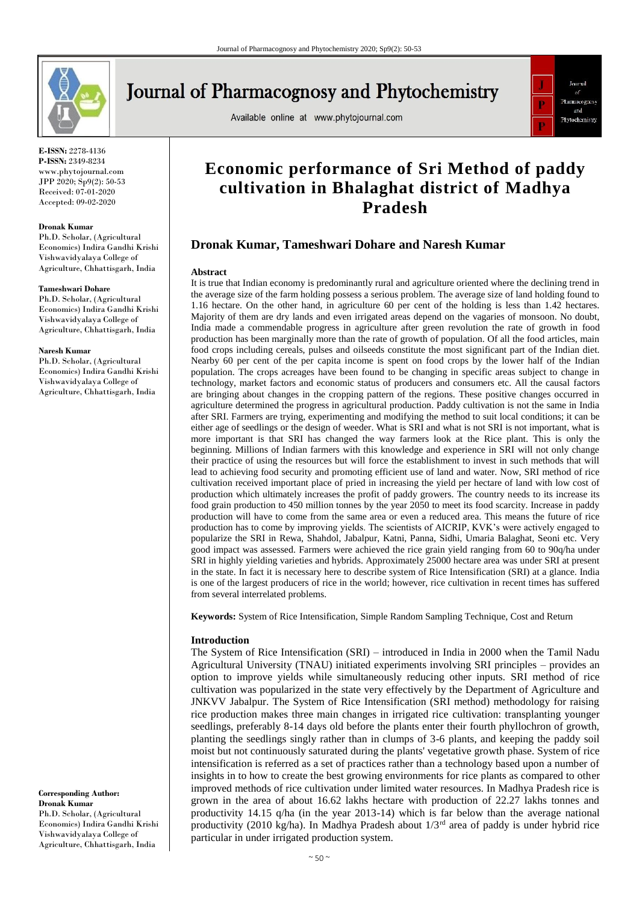

# **Journal of Pharmacognosy and Phytochemistry**

Available online at www.phytojournal.com



**E-ISSN:** 2278-4136 **P-ISSN:** 2349-8234 www.phytojournal.com JPP 2020; Sp9(2): 50-53 Received: 07-01-2020 Accepted: 09-02-2020

#### **Dronak Kumar**

Ph.D. Scholar, (Agricultural Economics) Indira Gandhi Krishi Vishwavidyalaya College of Agriculture, Chhattisgarh, India

#### **Tameshwari Dohare**

Ph.D. Scholar, (Agricultural Economics) Indira Gandhi Krishi Vishwavidyalaya College of Agriculture, Chhattisgarh, India

#### **Naresh Kumar**

Ph.D. Scholar, (Agricultural Economics) Indira Gandhi Krishi Vishwavidyalaya College of Agriculture, Chhattisgarh, India

**Corresponding Author: Dronak Kumar** Ph.D. Scholar, (Agricultural Economics) Indira Gandhi Krishi Vishwavidyalaya College of Agriculture, Chhattisgarh, India

# **Economic performance of Sri Method of paddy cultivation in Bhalaghat district of Madhya Pradesh**

# **Dronak Kumar, Tameshwari Dohare and Naresh Kumar**

#### **Abstract**

It is true that Indian economy is predominantly rural and agriculture oriented where the declining trend in the average size of the farm holding possess a serious problem. The average size of land holding found to 1.16 hectare. On the other hand, in agriculture 60 per cent of the holding is less than 1.42 hectares. Majority of them are dry lands and even irrigated areas depend on the vagaries of monsoon. No doubt, India made a commendable progress in agriculture after green revolution the rate of growth in food production has been marginally more than the rate of growth of population. Of all the food articles, main food crops including cereals, pulses and oilseeds constitute the most significant part of the Indian diet. Nearby 60 per cent of the per capita income is spent on food crops by the lower half of the Indian population. The crops acreages have been found to be changing in specific areas subject to change in technology, market factors and economic status of producers and consumers etc. All the causal factors are bringing about changes in the cropping pattern of the regions. These positive changes occurred in agriculture determined the progress in agricultural production. Paddy cultivation is not the same in India after SRI. Farmers are trying, experimenting and modifying the method to suit local conditions; it can be either age of seedlings or the design of weeder. What is SRI and what is not SRI is not important, what is more important is that SRI has changed the way farmers look at the Rice plant. This is only the beginning. Millions of Indian farmers with this knowledge and experience in SRI will not only change their practice of using the resources but will force the establishment to invest in such methods that will lead to achieving food security and promoting efficient use of land and water. Now, SRI method of rice cultivation received important place of pried in increasing the yield per hectare of land with low cost of production which ultimately increases the profit of paddy growers. The country needs to its increase its food grain production to 450 million tonnes by the year 2050 to meet its food scarcity. Increase in paddy production will have to come from the same area or even a reduced area. This means the future of rice production has to come by improving yields. The scientists of AICRIP, KVK's were actively engaged to popularize the SRI in Rewa, Shahdol, Jabalpur, Katni, Panna, Sidhi, Umaria Balaghat, Seoni etc. Very good impact was assessed. Farmers were achieved the rice grain yield ranging from 60 to 90q/ha under SRI in highly yielding varieties and hybrids. Approximately 25000 hectare area was under SRI at present in the state. In fact it is necessary here to describe system of Rice Intensification (SRI) at a glance. India is one of the largest producers of rice in the world; however, rice cultivation in recent times has suffered from several interrelated problems.

**Keywords:** System of Rice Intensification, Simple Random Sampling Technique, Cost and Return

#### **Introduction**

The System of Rice Intensification (SRI) – introduced in India in 2000 when the Tamil Nadu Agricultural University (TNAU) initiated experiments involving SRI principles – provides an option to improve yields while simultaneously reducing other inputs. SRI method of rice cultivation was popularized in the state very effectively by the Department of Agriculture and JNKVV Jabalpur. The System of Rice Intensification (SRI method) methodology for raising rice production makes three main changes in irrigated rice cultivation: transplanting younger seedlings, preferably 8-14 days old before the plants enter their fourth phyllochron of growth, planting the seedlings singly rather than in clumps of 3-6 plants, and keeping the paddy soil moist but not continuously saturated during the plants' vegetative growth phase. System of rice intensification is referred as a set of practices rather than a technology based upon a number of insights in to how to create the best growing environments for rice plants as compared to other improved methods of rice cultivation under limited water resources. In Madhya Pradesh rice is grown in the area of about 16.62 lakhs hectare with production of 22.27 lakhs tonnes and productivity 14.15 q/ha (in the year 2013-14) which is far below than the average national productivity (2010 kg/ha). In Madhya Pradesh about  $1/3<sup>rd</sup>$  area of paddy is under hybrid rice particular in under irrigated production system.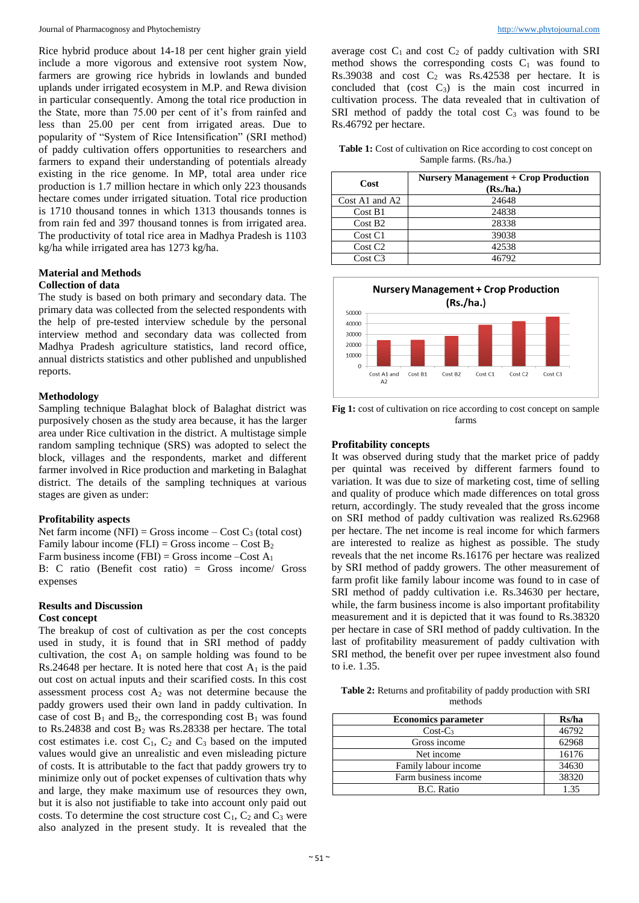Rice hybrid produce about 14-18 per cent higher grain yield include a more vigorous and extensive root system Now, farmers are growing rice hybrids in lowlands and bunded uplands under irrigated ecosystem in M.P. and Rewa division in particular consequently. Among the total rice production in the State, more than 75.00 per cent of it's from rainfed and less than 25.00 per cent from irrigated areas. Due to popularity of "System of Rice Intensification" (SRI method) of paddy cultivation offers opportunities to researchers and farmers to expand their understanding of potentials already existing in the rice genome. In MP, total area under rice production is 1.7 million hectare in which only 223 thousands hectare comes under irrigated situation. Total rice production is 1710 thousand tonnes in which 1313 thousands tonnes is from rain fed and 397 thousand tonnes is from irrigated area. The productivity of total rice area in Madhya Pradesh is 1103 kg/ha while irrigated area has 1273 kg/ha.

#### **Material and Methods Collection of data**

The study is based on both primary and secondary data. The primary data was collected from the selected respondents with the help of pre-tested interview schedule by the personal interview method and secondary data was collected from Madhya Pradesh agriculture statistics, land record office, annual districts statistics and other published and unpublished reports.

## **Methodology**

Sampling technique Balaghat block of Balaghat district was purposively chosen as the study area because, it has the larger area under Rice cultivation in the district. A multistage simple random sampling technique (SRS) was adopted to select the block, villages and the respondents, market and different farmer involved in Rice production and marketing in Balaghat district. The details of the sampling techniques at various stages are given as under:

#### **Profitability aspects**

Net farm income (NFI) = Gross income – Cost  $C_3$  (total cost) Family labour income (FLI) = Gross income – Cost  $B_2$ Farm business income (FBI) = Gross income –Cost  $A_1$ B: C ratio (Benefit cost ratio) = Gross income/ Gross expenses

# **Results and Discussion**

#### **Cost concept**

The breakup of cost of cultivation as per the cost concepts used in study, it is found that in SRI method of paddy cultivation, the cost  $A_1$  on sample holding was found to be Rs.24648 per hectare. It is noted here that cost  $A_1$  is the paid out cost on actual inputs and their scarified costs. In this cost assessment process cost  $A_2$  was not determine because the paddy growers used their own land in paddy cultivation. In case of cost  $B_1$  and  $B_2$ , the corresponding cost  $B_1$  was found to Rs.24838 and cost B<sub>2</sub> was Rs.28338 per hectare. The total cost estimates i.e. cost  $C_1$ ,  $C_2$  and  $C_3$  based on the imputed values would give an unrealistic and even misleading picture of costs. It is attributable to the fact that paddy growers try to minimize only out of pocket expenses of cultivation thats why and large, they make maximum use of resources they own, but it is also not justifiable to take into account only paid out costs. To determine the cost structure cost  $C_1$ ,  $C_2$  and  $C_3$  were also analyzed in the present study. It is revealed that the

average cost  $C_1$  and cost  $C_2$  of paddy cultivation with SRI method shows the corresponding costs  $C_1$  was found to Rs.39038 and cost  $C_2$  was Rs.42538 per hectare. It is concluded that  $(cost \tC<sub>3</sub>)$  is the main cost incurred in cultivation process. The data revealed that in cultivation of SRI method of paddy the total cost  $C_3$  was found to be Rs.46792 per hectare.

Table 1: Cost of cultivation on Rice according to cost concept on Sample farms. (Rs./ha.)

| Cost               | <b>Nursery Management + Crop Production</b><br>(Rs/ha.) |
|--------------------|---------------------------------------------------------|
| $Cost A1$ and $A2$ | 24648                                                   |
| Cost B1            | 24838                                                   |
| Cost B2            | 28338                                                   |
| Cost C1            | 39038                                                   |
| Cost C2            | 42538                                                   |
| Cost C3            | 46792                                                   |



**Fig 1:** cost of cultivation on rice according to cost concept on sample farms

## **Profitability concepts**

It was observed during study that the market price of paddy per quintal was received by different farmers found to variation. It was due to size of marketing cost, time of selling and quality of produce which made differences on total gross return, accordingly. The study revealed that the gross income on SRI method of paddy cultivation was realized Rs.62968 per hectare. The net income is real income for which farmers are interested to realize as highest as possible. The study reveals that the net income Rs.16176 per hectare was realized by SRI method of paddy growers. The other measurement of farm profit like family labour income was found to in case of SRI method of paddy cultivation i.e. Rs.34630 per hectare, while, the farm business income is also important profitability measurement and it is depicted that it was found to Rs.38320 per hectare in case of SRI method of paddy cultivation. In the last of profitability measurement of paddy cultivation with SRI method, the benefit over per rupee investment also found to i.e. 1.35.

**Table 2:** Returns and profitability of paddy production with SRI methods

| <b>Economics parameter</b> | Rs/ha |
|----------------------------|-------|
| $Cost-C3$                  | 46792 |
| Gross income               | 62968 |
| Net income                 | 16176 |
| Family labour income       | 34630 |
| Farm business income       | 38320 |
| B.C. Ratio                 | 135   |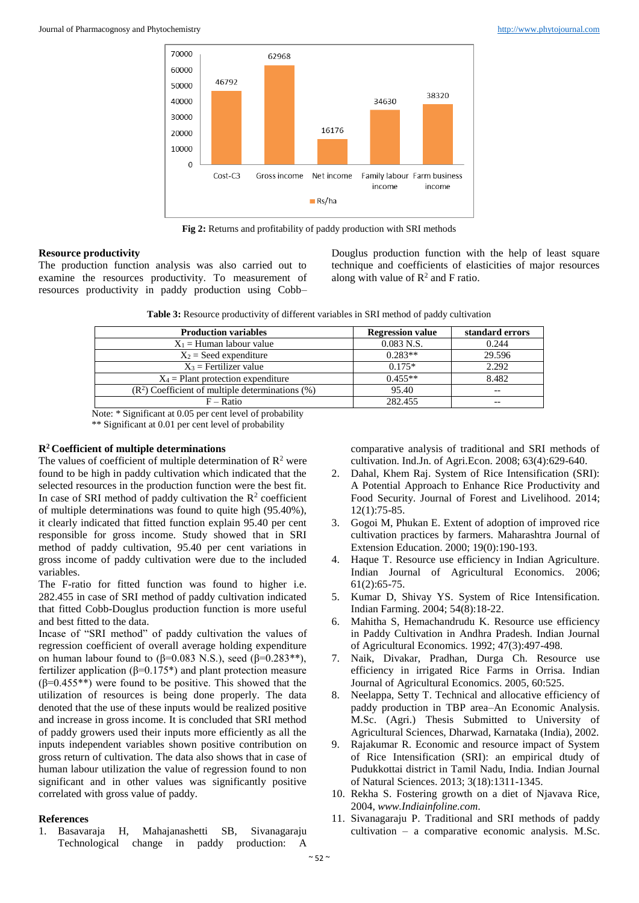

**Fig 2:** Returns and profitability of paddy production with SRI methods

### **Resource productivity**

The production function analysis was also carried out to examine the resources productivity. To measurement of resources productivity in paddy production using Cobb– Douglus production function with the help of least square technique and coefficients of elasticities of major resources along with value of  $\mathbb{R}^2$  and F ratio.

**Table 3:** Resource productivity of different variables in SRI method of paddy cultivation

| <b>Regression value</b> | standard errors |
|-------------------------|-----------------|
| $0.083$ N.S.            | 0.244           |
| $0.283**$               | 29.596          |
| $0.175*$                | 2.292           |
| $0.455**$               | 8.482           |
| 95.40                   | $- -$           |
| 282.455                 | $- -$           |
|                         |                 |

Note: \* Significant at 0.05 per cent level of probability \*\* Significant at 0.01 per cent level of probability

#### **R<sup>2</sup>Coefficient of multiple determinations**

The values of coefficient of multiple determination of  $\mathbb{R}^2$  were found to be high in paddy cultivation which indicated that the selected resources in the production function were the best fit. In case of SRI method of paddy cultivation the  $\mathbb{R}^2$  coefficient of multiple determinations was found to quite high (95.40%), it clearly indicated that fitted function explain 95.40 per cent responsible for gross income. Study showed that in SRI method of paddy cultivation, 95.40 per cent variations in gross income of paddy cultivation were due to the included variables.

The F-ratio for fitted function was found to higher i.e. 282.455 in case of SRI method of paddy cultivation indicated that fitted Cobb-Douglus production function is more useful and best fitted to the data.

Incase of "SRI method" of paddy cultivation the values of regression coefficient of overall average holding expenditure on human labour found to (β=0.083 N.S.), seed (β=0.283<sup>\*\*</sup>), fertilizer application (β=0.175\*) and plant protection measure (β=0.455\*\*) were found to be positive. This showed that the utilization of resources is being done properly. The data denoted that the use of these inputs would be realized positive and increase in gross income. It is concluded that SRI method of paddy growers used their inputs more efficiently as all the inputs independent variables shown positive contribution on gross return of cultivation. The data also shows that in case of human labour utilization the value of regression found to non significant and in other values was significantly positive correlated with gross value of paddy.

#### **References**

1. Basavaraja H, Mahajanashetti SB, Sivanagaraju Technological change in paddy production: A

comparative analysis of traditional and SRI methods of cultivation. Ind.Jn. of Agri.Econ. 2008; 63(4):629-640.

- 2. Dahal, Khem Raj. System of Rice Intensification (SRI): A Potential Approach to Enhance Rice Productivity and Food Security. Journal of Forest and Livelihood. 2014; 12(1):75-85.
- 3. Gogoi M, Phukan E. Extent of adoption of improved rice cultivation practices by farmers. Maharashtra Journal of Extension Education. 2000; 19(0):190-193.
- 4. Haque T. Resource use efficiency in Indian Agriculture. Indian Journal of Agricultural Economics. 2006; 61(2):65-75.
- 5. Kumar D, Shivay YS. System of Rice Intensification. Indian Farming. 2004; 54(8):18-22.
- 6. Mahitha S, Hemachandrudu K. Resource use efficiency in Paddy Cultivation in Andhra Pradesh. Indian Journal of Agricultural Economics. 1992; 47(3):497-498.
- 7. Naik, Divakar, Pradhan, Durga Ch. Resource use efficiency in irrigated Rice Farms in Orrisa. Indian Journal of Agricultural Economics. 2005, 60:525.
- 8. Neelappa, Setty T. Technical and allocative efficiency of paddy production in TBP area–An Economic Analysis. M.Sc. (Agri.) Thesis Submitted to University of Agricultural Sciences, Dharwad, Karnataka (India), 2002.
- 9. Rajakumar R. Economic and resource impact of System of Rice Intensification (SRI): an empirical dtudy of Pudukkottai district in Tamil Nadu, India. Indian Journal of Natural Sciences. 2013; 3(18):1311-1345.
- 10. Rekha S. Fostering growth on a diet of Njavava Rice, 2004, *www.Indiainfoline.com.*
- 11. Sivanagaraju P. Traditional and SRI methods of paddy cultivation – a comparative economic analysis. M.Sc.